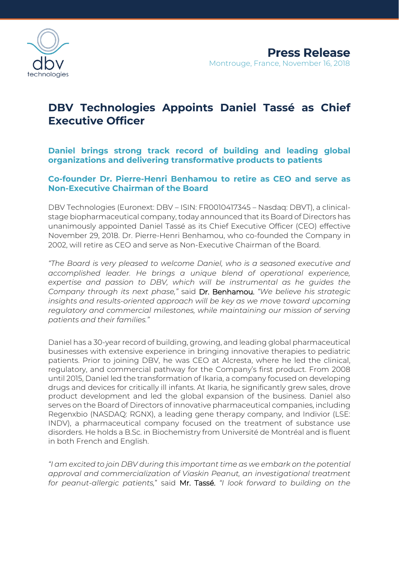

# **DBV Technologies Appoints Daniel Tassé as Chief Executive Officer**

**Daniel brings strong track record of building and leading global organizations and delivering transformative products to patients**

# **Co-founder Dr. Pierre-Henri Benhamou to retire as CEO and serve as Non-Executive Chairman of the Board**

DBV Technologies (Euronext: DBV – ISIN: FR0010417345 – Nasdaq: DBVT), a clinicalstage biopharmaceutical company, today announced that its Board of Directors has unanimously appointed Daniel Tassé as its Chief Executive Officer (CEO) effective November 29, 2018. Dr. Pierre-Henri Benhamou, who co-founded the Company in 2002, will retire as CEO and serve as Non-Executive Chairman of the Board.

*"The Board is very pleased to welcome Daniel, who is a seasoned executive and accomplished leader. He brings a unique blend of operational experience, expertise and passion to DBV, which will be instrumental as he guides the Company through its next phase,"* said Dr. Benhamou. *"We believe his strategic insights and results-oriented approach will be key as we move toward upcoming regulatory and commercial milestones, while maintaining our mission of serving patients and their families."*

Daniel has a 30-year record of building, growing, and leading global pharmaceutical businesses with extensive experience in bringing innovative therapies to pediatric patients. Prior to joining DBV, he was CEO at Alcresta, where he led the clinical, regulatory, and commercial pathway for the Company's first product. From 2008 until 2015, Daniel led the transformation of Ikaria, a company focused on developing drugs and devices for critically ill infants. At Ikaria, he significantly grew sales, drove product development and led the global expansion of the business. Daniel also serves on the Board of Directors of innovative pharmaceutical companies, including Regenxbio (NASDAQ: RGNX), a leading gene therapy company, and Indivior (LSE: INDV), a pharmaceutical company focused on the treatment of substance use disorders. He holds a B.Sc. in Biochemistry from Université de Montréal and is fluent in both French and English.

*"I am excited to join DBV during this important time as we embark on the potential approval and commercialization of Viaskin Peanut, an investigational treatment for peanut-allergic patients,*" said Mr. Tassé. *"I look forward to building on the*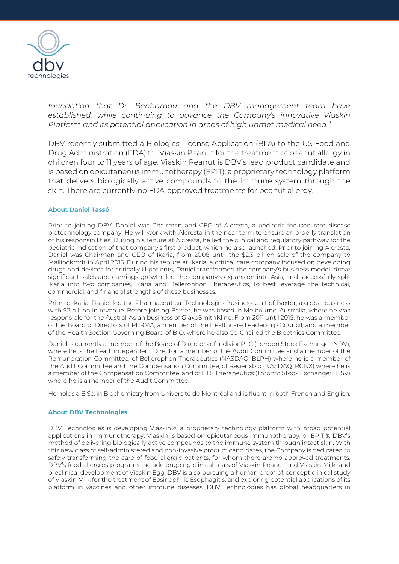

*foundation that Dr. Benhamou and the DBV management team have established, while continuing to advance the Company's innovative Viaskin Platform and its potential application in areas of high unmet medical need."*

DBV recently submitted a Biologics License Application (BLA) to the US Food and Drug Administration (FDA) for Viaskin Peanut for the treatment of peanut allergy in children four to 11 years of age. Viaskin Peanut is DBV's lead product candidate and is based on epicutaneous immunotherapy (EPIT), a proprietary technology platform that delivers biologically active compounds to the immune system through the skin. There are currently no FDA-approved treatments for peanut allergy.

#### **About Daniel Tassé**

Prior to joining DBV, Daniel was Chairman and CEO of Alcresta, a pediatric-focused rare disease biotechnology company. He will work with Alcresta in the near term to ensure an orderly translation of his responsibilities. During his tenure at Alcresta, he led the clinical and regulatory pathway for the pediatric indication of that company's first product, which he also launched. Prior to joining Alcresta, Daniel was Chairman and CEO of Ikaria, from 2008 until the \$2.3 billion sale of the company to Mallinckrodt in April 2015. During his tenure at Ikaria, a critical care company focused on developing drugs and devices for critically ill patients, Daniel transformed the company's business model, drove significant sales and earnings growth, led the company's expansion into Asia, and successfully split Ikaria into two companies, Ikaria and Bellerophon Therapeutics, to best leverage the technical, commercial, and financial strengths of those businesses.

Prior to Ikaria, Daniel led the Pharmaceutical Technologies Business Unit of Baxter, a global business with \$2 billion in revenue. Before joining Baxter, he was based in Melbourne, Australia, where he was responsible for the Austral-Asian business of GlaxoSmithKline. From 2011 until 2015, he was a member of the Board of Directors of PhRMA, a member of the Healthcare Leadership Council, and a member of the Health Section Governing Board of BIO, where he also Co-Chaired the Bioethics Committee.

Daniel is currently a member of the Board of Directors of Indivior PLC (London Stock Exchange: INDV), where he is the Lead Independent Director, a member of the Audit Committee and a member of the Remuneration Committee; of Bellerophon Therapeutics (NASDAQ: BLPH) where he is a member of the Audit Committee and the Compensation Committee; of Regenxbio (NASDAQ: RGNX) where he is a member of the Compensation Committee; and of HLS Therapeutics (Toronto Stock Exchange: HLSV) where he is a member of the Audit Committee.

He holds a B.Sc. in Biochemistry from Université de Montréal and is fluent in both French and English.

### **About DBV Technologies**

DBV Technologies is developing Viaskin®, a proprietary technology platform with broad potential applications in immunotherapy. Viaskin is based on epicutaneous immunotherapy, or EPIT®, DBV's method of delivering biologically active compounds to the immune system through intact skin. With this new class of self-administered and non-invasive product candidates, the Company is dedicated to safely transforming the care of food allergic patients, for whom there are no approved treatments. DBV's food allergies programs include ongoing clinical trials of Viaskin Peanut and Viaskin Milk, and preclinical development of Viaskin Egg. DBV is also pursuing a human proof-of-concept clinical study of Viaskin Milk for the treatment of Eosinophilic Esophagitis, and exploring potential applications of its platform in vaccines and other immune diseases. DBV Technologies has global headquarters in